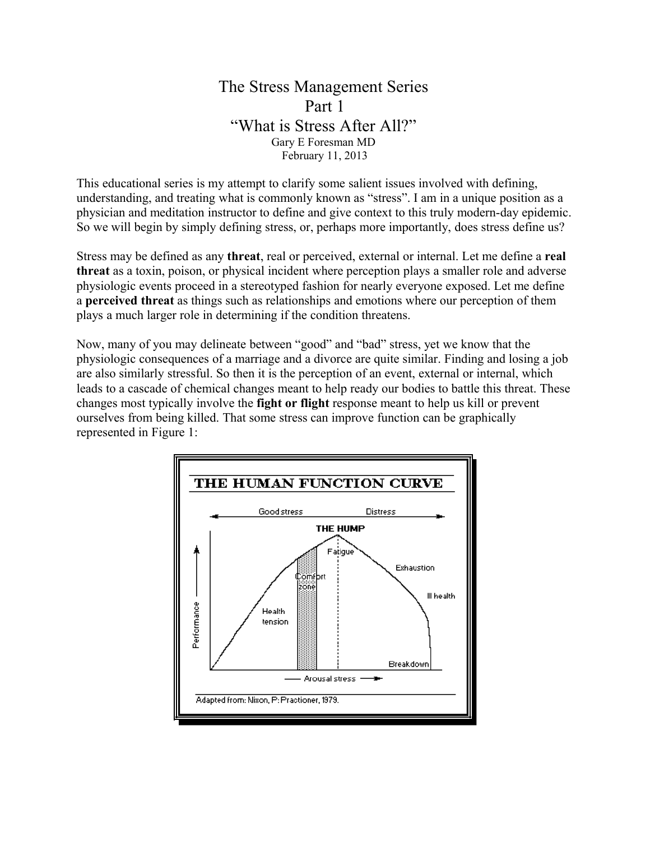## The Stress Management Series Part 1 "What is Stress After All?" Gary E Foresman MD February 11, 2013

This educational series is my attempt to clarify some salient issues involved with defining, understanding, and treating what is commonly known as "stress". I am in a unique position as a physician and meditation instructor to define and give context to this truly modern-day epidemic. So we will begin by simply defining stress, or, perhaps more importantly, does stress define us?

Stress may be defined as any **threat**, real or perceived, external or internal. Let me define a **real threat** as a toxin, poison, or physical incident where perception plays a smaller role and adverse physiologic events proceed in a stereotyped fashion for nearly everyone exposed. Let me define a **perceived threat** as things such as relationships and emotions where our perception of them plays a much larger role in determining if the condition threatens.

Now, many of you may delineate between "good" and "bad" stress, yet we know that the physiologic consequences of a marriage and a divorce are quite similar. Finding and losing a job are also similarly stressful. So then it is the perception of an event, external or internal, which leads to a cascade of chemical changes meant to help ready our bodies to battle this threat. These changes most typically involve the **fight or flight** response meant to help us kill or prevent ourselves from being killed. That some stress can improve function can be graphically represented in Figure 1:

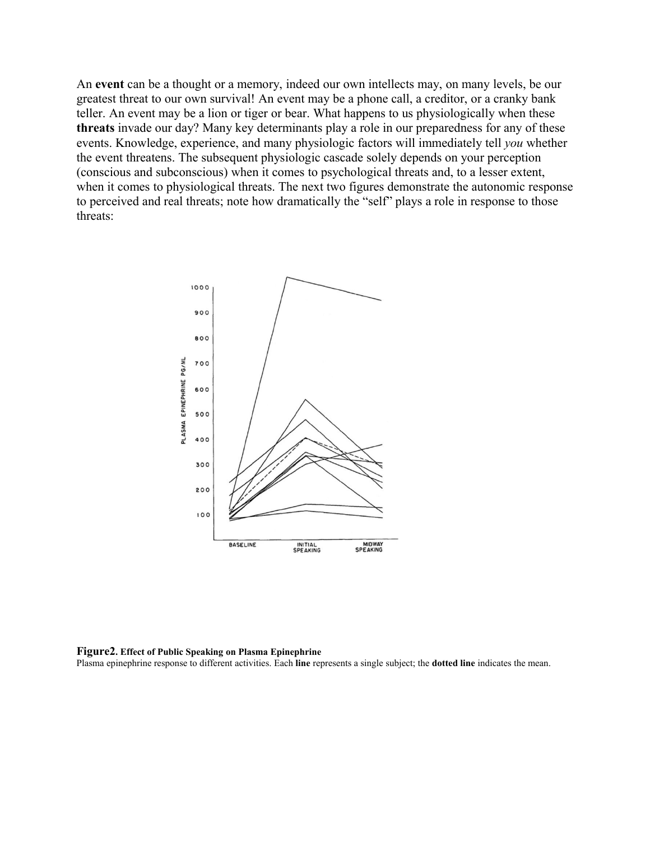An **event** can be a thought or a memory, indeed our own intellects may, on many levels, be our greatest threat to our own survival! An event may be a phone call, a creditor, or a cranky bank teller. An event may be a lion or tiger or bear. What happens to us physiologically when these **threats** invade our day? Many key determinants play a role in our preparedness for any of these events. Knowledge, experience, and many physiologic factors will immediately tell *you* whether the event threatens. The subsequent physiologic cascade solely depends on your perception (conscious and subconscious) when it comes to psychological threats and, to a lesser extent, when it comes to physiological threats. The next two figures demonstrate the autonomic response to perceived and real threats; note how dramatically the "self" plays a role in response to those threats:



## **Figure2. Effect of Public Speaking on Plasma Epinephrine**

Plasma epinephrine response to different activities. Each **line** represents a single subject; the **dotted line** indicates the mean.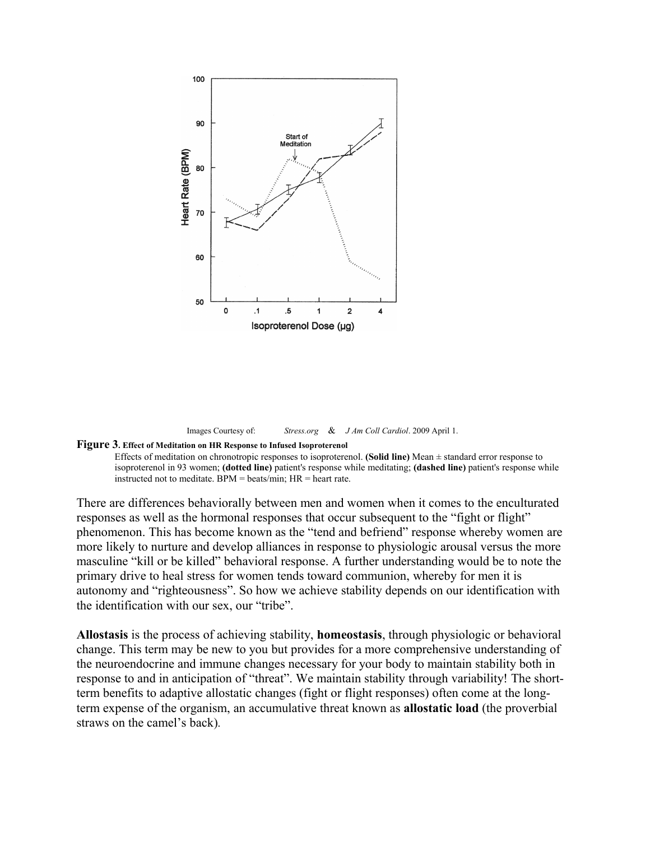

Images Courtesy of: *Stress.org* & *J Am Coll Cardiol*. 2009 April 1.

## **Figure 3. Effect of Meditation on HR Response to Infused Isoproterenol**

Effects of meditation on chronotropic responses to isoproterenol. **(Solid line)** Mean ± standard error response to isoproterenol in 93 women; **(dotted line)** patient's response while meditating; **(dashed line)** patient's response while instructed not to meditate. BPM = beats/min; HR = heart rate.

There are differences behaviorally between men and women when it comes to the enculturated responses as well as the hormonal responses that occur subsequent to the "fight or flight" phenomenon. This has become known as the "tend and befriend" response whereby women are more likely to nurture and develop alliances in response to physiologic arousal versus the more masculine "kill or be killed" behavioral response. A further understanding would be to note the primary drive to heal stress for women tends toward communion, whereby for men it is autonomy and "righteousness". So how we achieve stability depends on our identification with the identification with our sex, our "tribe".

**Allostasis** is the process of achieving stability, **homeostasis**, through physiologic or behavioral change. This term may be new to you but provides for a more comprehensive understanding of the neuroendocrine and immune changes necessary for your body to maintain stability both in response to and in anticipation of "threat". We maintain stability through variability! The shortterm benefits to adaptive allostatic changes (fight or flight responses) often come at the longterm expense of the organism, an accumulative threat known as **allostatic load** (the proverbial straws on the camel's back)*.*